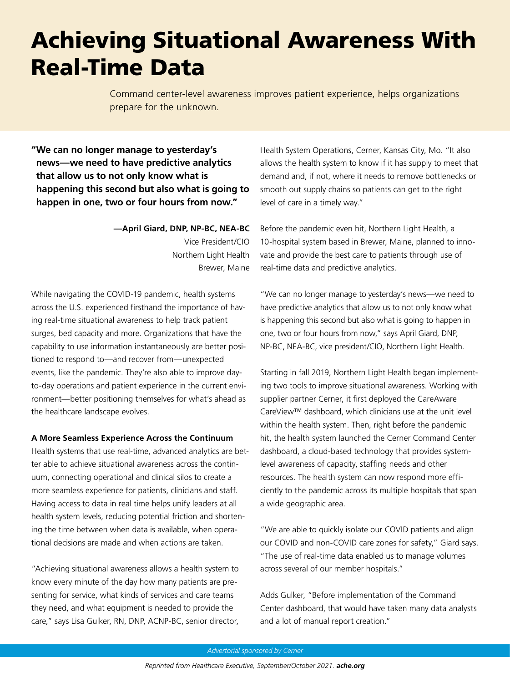## Achieving Situational Awareness With Real-Time Data

Command center-level awareness improves patient experience, helps organizations prepare for the unknown.

**"We can no longer manage to yesterday's news—we need to have predictive analytics that allow us to not only know what is happening this second but also what is going to happen in one, two or four hours from now."**

> **—April Giard, DNP, NP-BC, NEA-BC** Vice President/CIO Northern Light Health Brewer, Maine

While navigating the COVID-19 pandemic, health systems across the U.S. experienced firsthand the importance of having real-time situational awareness to help track patient surges, bed capacity and more. Organizations that have the capability to use information instantaneously are better positioned to respond to—and recover from—unexpected events, like the pandemic. They're also able to improve dayto-day operations and patient experience in the current environment—better positioning themselves for what's ahead as the healthcare landscape evolves.

## **A More Seamless Experience Across the Continuum**

Health systems that use real-time, advanced analytics are better able to achieve situational awareness across the continuum, connecting operational and clinical silos to create a more seamless experience for patients, clinicians and staff. Having access to data in real time helps unify leaders at all health system levels, reducing potential friction and shortening the time between when data is available, when operational decisions are made and when actions are taken.

"Achieving situational awareness allows a health system to know every minute of the day how many patients are presenting for service, what kinds of services and care teams they need, and what equipment is needed to provide the care," says Lisa Gulker, RN, DNP, ACNP-BC, senior director, Health System Operations, Cerner, Kansas City, Mo. "It also allows the health system to know if it has supply to meet that demand and, if not, where it needs to remove bottlenecks or smooth out supply chains so patients can get to the right level of care in a timely way."

Before the pandemic even hit, Northern Light Health, a 10-hospital system based in Brewer, Maine, planned to innovate and provide the best care to patients through use of real-time data and predictive analytics.

"We can no longer manage to yesterday's news—we need to have predictive analytics that allow us to not only know what is happening this second but also what is going to happen in one, two or four hours from now," says April Giard, DNP, NP-BC, NEA-BC, vice president/CIO, Northern Light Health.

Starting in fall 2019, Northern Light Health began implementing two tools to improve situational awareness. Working with supplier partner Cerner, it first deployed the CareAware CareView™ dashboard, which clinicians use at the unit level within the health system. Then, right before the pandemic hit, the health system launched the Cerner Command Center dashboard, a cloud-based technology that provides systemlevel awareness of capacity, staffing needs and other resources. The health system can now respond more efficiently to the pandemic across its multiple hospitals that span a wide geographic area.

"We are able to quickly isolate our COVID patients and align our COVID and non-COVID care zones for safety," Giard says. "The use of real-time data enabled us to manage volumes across several of our member hospitals."

Adds Gulker, "Before implementation of the Command Center dashboard, that would have taken many data analysts and a lot of manual report creation."